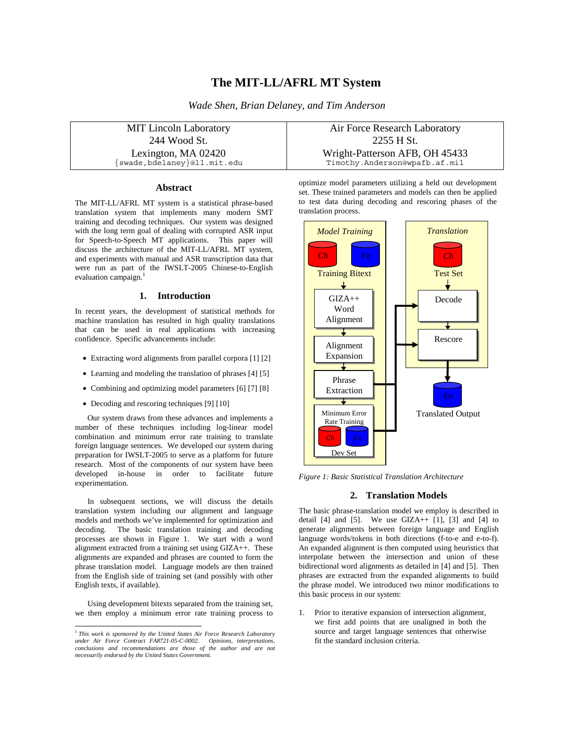# **The MIT-LL/AFRL MT System**

*Wade Shen, Brian Delaney, and Tim Anderson* 

| <b>MIT Lincoln Laboratory</b> | Air Force Research Laboratory  |
|-------------------------------|--------------------------------|
| 244 Wood St.                  | 2255 H St.                     |
| Lexington, MA 02420           | Wright-Patterson AFB, OH 45433 |
| [swade,bdelaney]@ll.mit.edu   | Timothy.Anderson@wpafb.af.mil  |

## **Abstract**

The MIT-LL/AFRL MT system is a statistical phrase-based translation system that implements many modern SMT training and decoding techniques. Our system was designed with the long term goal of dealing with corrupted ASR input for Speech-to-Speech MT applications. This paper will discuss the architecture of the MIT-LL/AFRL MT system, and experiments with manual and ASR transcription data that were run as part of the IWSLT-2005 Chinese-to-English evaluation campaign.<sup>1</sup>

### **1. Introduction**

In recent years, the development of statistical methods for machine translation has resulted in high quality translations that can be used in real applications with increasing confidence. Specific advancements include:

- Extracting word alignments from parallel corpora [1] [2]
- Learning and modeling the translation of phrases [4] [5]
- Combining and optimizing model parameters [6] [7] [8]
- Decoding and rescoring techniques [9] [10]

Our system draws from these advances and implements a number of these techniques including log-linear model combination and minimum error rate training to translate foreign language sentences. We developed our system during preparation for IWSLT-2005 to serve as a platform for future research. Most of the components of our system have been developed in-house in order to facilitate future experimentation.

In subsequent sections, we will discuss the details translation system including our alignment and language models and methods we've implemented for optimization and decoding. The basic translation training and decoding The basic translation training and decoding processes are shown in Figure 1. We start with a word alignment extracted from a training set using GIZA++. These alignments are expanded and phrases are counted to form the phrase translation model. Language models are then trained from the English side of training set (and possibly with other English texts, if available).

Using development bitexts separated from the training set, we then employ a minimum error rate training process to

optimize model parameters utilizing a held out development set. These trained parameters and models can then be applied to test data during decoding and rescoring phases of the translation process.



*Figure 1: Basic Statistical Translation Architecture* 

#### **2. Translation Models**

The basic phrase-translation model we employ is described in detail  $[4]$  and  $[5]$ . We use  $GIZA++ [1]$ ,  $[3]$  and  $[4]$  to generate alignments between foreign language and English language words/tokens in both directions (f-to-e and e-to-f). An expanded alignment is then computed using heuristics that interpolate between the intersection and union of these bidirectional word alignments as detailed in [4] and [5]. Then phrases are extracted from the expanded alignments to build the phrase model. We introduced two minor modifications to this basic process in our system:

1. Prior to iterative expansion of intersection alignment, we first add points that are unaligned in both the source and target language sentences that otherwise fit the standard inclusion criteria.

 *1 This work is sponsored by the United States Air Force Research Laboratory under Air Force Contract FA8721-05-C-0002. Opinions, interpretations, conclusions and recommendations are those of the author and are not necessarily endorsed by the United States Government.*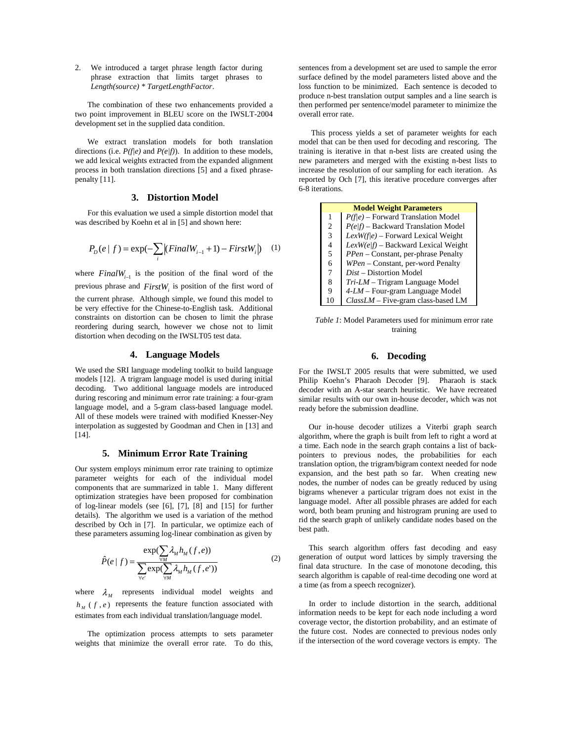2. We introduced a target phrase length factor during phrase extraction that limits target phrases to *Length(source) \* TargetLengthFactor*.

The combination of these two enhancements provided a two point improvement in BLEU score on the IWSLT-2004 development set in the supplied data condition.

We extract translation models for both translation directions (i.e. *P(f|e)* and *P(e|f)*). In addition to these models, we add lexical weights extracted from the expanded alignment process in both translation directions [5] and a fixed phrasepenalty [11].

#### **3. Distortion Model**

For this evaluation we used a simple distortion model that was described by Koehn et al in [5] and shown here:

$$
P_D(e | f) = \exp(-\sum_{i} |(FinalW_{i-1} + 1) - FirstW_i|) \quad (1)
$$

where *FinalW<sub>i−1</sub>* is the position of the final word of the previous phrase and  $FirstW<sub>i</sub>$  is position of the first word of the current phrase. Although simple, we found this model to be very effective for the Chinese-to-English task. Additional constraints on distortion can be chosen to limit the phrase reordering during search, however we chose not to limit distortion when decoding on the IWSLT05 test data.

### **4. Language Models**

We used the SRI language modeling toolkit to build language models [12]. A trigram language model is used during initial decoding. Two additional language models are introduced during rescoring and minimum error rate training: a four-gram language model, and a 5-gram class-based language model. All of these models were trained with modified Knesser-Ney interpolation as suggested by Goodman and Chen in [13] and [14].

#### **5. Minimum Error Rate Training**

Our system employs minimum error rate training to optimize parameter weights for each of the individual model components that are summarized in table 1. Many different optimization strategies have been proposed for combination of log-linear models (see [6], [7], [8] and [15] for further details). The algorithm we used is a variation of the method described by Och in [7]. In particular, we optimize each of these parameters assuming log-linear combination as given by

$$
\hat{P}(e \mid f) = \frac{\exp(\sum_{\forall M} \lambda_M h_M(f, e))}{\sum_{\forall e'} \exp(\sum_{\forall M} \lambda_M h_M(f, e'))}
$$
(2)

where  $\lambda_{\scriptscriptstyle M}$  represents individual model weights and  $h_{\mu}$  (*f*, *e*) represents the feature function associated with estimates from each individual translation/language model.

The optimization process attempts to sets parameter weights that minimize the overall error rate. To do this,

sentences from a development set are used to sample the error surface defined by the model parameters listed above and the loss function to be minimized. Each sentence is decoded to produce n-best translation output samples and a line search is then performed per sentence/model parameter to minimize the overall error rate.

This process yields a set of parameter weights for each model that can be then used for decoding and rescoring. The training is iterative in that n-best lists are created using the new parameters and merged with the existing n-best lists to increase the resolution of our sampling for each iteration. As reported by Och [7], this iterative procedure converges after 6-8 iterations.

| <b>Model Weight Parameters</b> |                                            |  |
|--------------------------------|--------------------------------------------|--|
| 1                              | $P(f e)$ – Forward Translation Model       |  |
| $\overline{c}$                 | $P(e/f)$ – Backward Translation Model      |  |
| 3                              | $LexW(f e)$ – Forward Lexical Weight       |  |
| 4                              | $LexW(elf) - Backward Lexical Weight$      |  |
| 5                              | <i>PPen</i> – Constant, per-phrase Penalty |  |
| 6                              | WPen - Constant, per-word Penalty          |  |
| 7                              | Dist – Distortion Model                    |  |
| 8                              | $Tri-LM - Trigram$ Language Model          |  |
| 9                              | $4-LM - Four-gram Language Model$          |  |
| 10                             | $ClassLM$ – Five-gram class-based LM       |  |

*Table 1*: Model Parameters used for minimum error rate training

## **6. Decoding**

For the IWSLT 2005 results that were submitted, we used Philip Koehn's Pharaoh Decoder [9]. Pharaoh is stack decoder with an A-star search heuristic. We have recreated similar results with our own in-house decoder, which was not ready before the submission deadline.

 Our in-house decoder utilizes a Viterbi graph search algorithm, where the graph is built from left to right a word at a time. Each node in the search graph contains a list of backpointers to previous nodes, the probabilities for each translation option, the trigram/bigram context needed for node expansion, and the best path so far. When creating new nodes, the number of nodes can be greatly reduced by using bigrams whenever a particular trigram does not exist in the language model. After all possible phrases are added for each word, both beam pruning and histrogram pruning are used to rid the search graph of unlikely candidate nodes based on the best path.

 This search algorithm offers fast decoding and easy generation of output word lattices by simply traversing the final data structure. In the case of monotone decoding, this search algorithm is capable of real-time decoding one word at a time (as from a speech recognizer).

 In order to include distortion in the search, additional information needs to be kept for each node including a word coverage vector, the distortion probability, and an estimate of the future cost. Nodes are connected to previous nodes only if the intersection of the word coverage vectors is empty. The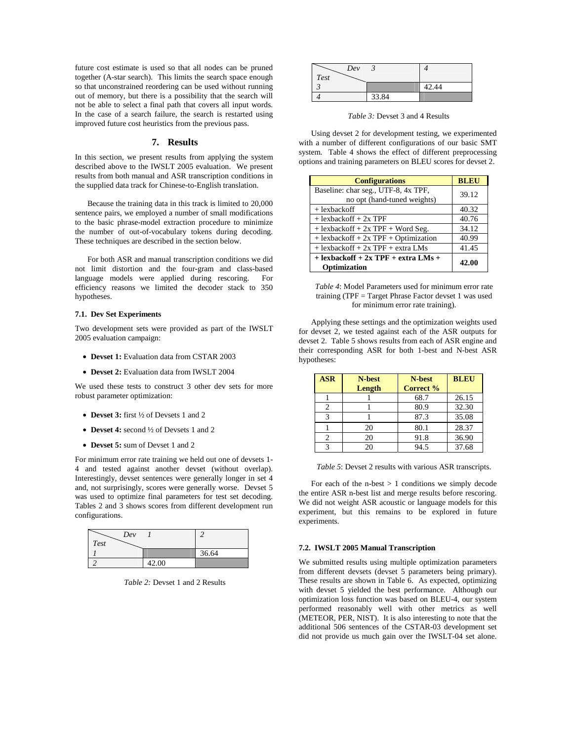future cost estimate is used so that all nodes can be pruned together (A-star search). This limits the search space enough so that unconstrained reordering can be used without running out of memory, but there is a possibility that the search will not be able to select a final path that covers all input words. In the case of a search failure, the search is restarted using improved future cost heuristics from the previous pass.

# **7. Results**

In this section, we present results from applying the system described above to the IWSLT 2005 evaluation. We present results from both manual and ASR transcription conditions in the supplied data track for Chinese-to-English translation.

Because the training data in this track is limited to 20,000 sentence pairs, we employed a number of small modifications to the basic phrase-model extraction procedure to minimize the number of out-of-vocabulary tokens during decoding. These techniques are described in the section below.

For both ASR and manual transcription conditions we did not limit distortion and the four-gram and class-based language models were applied during rescoring. For efficiency reasons we limited the decoder stack to 350 hypotheses.

# **7.1. Dev Set Experiments**

Two development sets were provided as part of the IWSLT 2005 evaluation campaign:

- **Devset 1:** Evaluation data from CSTAR 2003
- **Devset 2:** Evaluation data from IWSLT 2004

We used these tests to construct 3 other dev sets for more robust parameter optimization:

- **Devset 3:** first ½ of Devsets 1 and 2
- **Devset 4:** second  $\frac{1}{2}$  of Devsets 1 and 2
- **Devset 5:** sum of Devset 1 and 2

For minimum error rate training we held out one of devsets 1- 4 and tested against another devset (without overlap). Interestingly, devset sentences were generally longer in set 4 and, not surprisingly, scores were generally worse. Devset 5 was used to optimize final parameters for test set decoding. Tables 2 and 3 shows scores from different development run configurations.

| Dev  |       |       |
|------|-------|-------|
| Test |       |       |
|      |       | 36.64 |
|      | 42.00 |       |

*Table 2:* Devset 1 and 2 Results

| Dev  |       |       |
|------|-------|-------|
| Test |       |       |
|      |       | 42.44 |
|      | 33.84 |       |

*Table 3:* Devset 3 and 4 Results

Using devset 2 for development testing, we experimented with a number of different configurations of our basic SMT system. Table 4 shows the effect of different preprocessing options and training parameters on BLEU scores for devset 2.

| <b>Configurations</b>                                       | <b>BLEU</b> |
|-------------------------------------------------------------|-------------|
| Baseline: char seg., UTF-8, 4x TPF,                         | 39.12       |
| no opt (hand-tuned weights)                                 |             |
| $+$ lexbackoff                                              | 40.32       |
| $+$ lexbackoff $+$ 2x TPF                                   | 40.76       |
| $+$ lexbackoff $+$ 2x TPF $+$ Word Seg.                     | 34.12       |
| $+$ lexbackoff $+$ 2x TPF $+$ Optimization                  | 40.99       |
| $+$ lexbackoff $+$ 2x TPF $+$ extra LMs                     | 41.45       |
| $+$ lexbackoff $+$ 2x TPF $+$ extra LMs $+$<br>Optimization | 42.00       |

*Table 4*: Model Parameters used for minimum error rate training (TPF = Target Phrase Factor devset 1 was used for minimum error rate training).

Applying these settings and the optimization weights used for devset 2, we tested against each of the ASR outputs for devset 2. Table 5 shows results from each of ASR engine and their corresponding ASR for both 1-best and N-best ASR hypotheses:

| <b>ASR</b>   | N-best | N-best    | <b>BLEU</b> |
|--------------|--------|-----------|-------------|
|              | Length | Correct % |             |
|              |        | 68.7      | 26.15       |
| 2            |        | 80.9      | 32.30       |
| $\mathbf{a}$ |        | 87.3      | 35.08       |
|              | 20     | 80.1      | 28.37       |
|              | 20     | 91.8      | 36.90       |
|              | 20     | 94.5      | 37.68       |

*Table 5*: Devset 2 results with various ASR transcripts.

For each of the n-best  $> 1$  conditions we simply decode the entire ASR n-best list and merge results before rescoring. We did not weight ASR acoustic or language models for this experiment, but this remains to be explored in future experiments.

#### **7.2. IWSLT 2005 Manual Transcription**

We submitted results using multiple optimization parameters from different devsets (devset 5 parameters being primary). These results are shown in Table 6. As expected, optimizing with devset 5 yielded the best performance. Although our optimization loss function was based on BLEU-4, our system performed reasonably well with other metrics as well (METEOR, PER, NIST). It is also interesting to note that the additional 506 sentences of the CSTAR-03 development set did not provide us much gain over the IWSLT-04 set alone.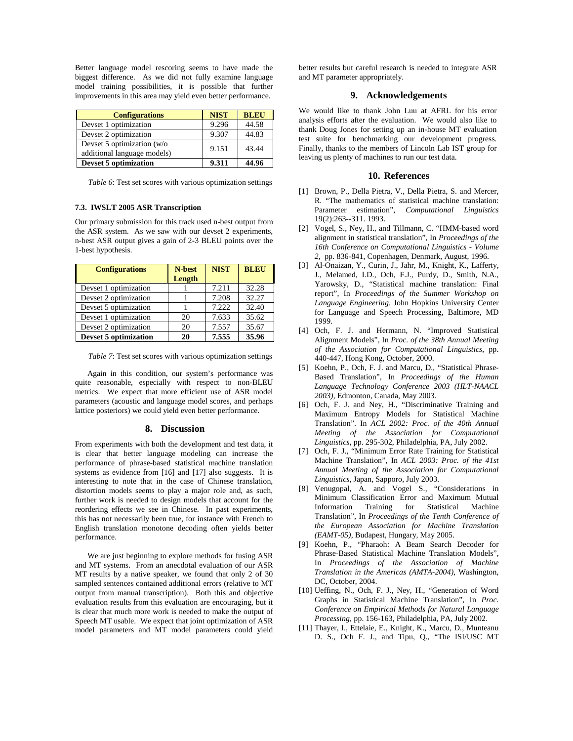Better language model rescoring seems to have made the biggest difference. As we did not fully examine language model training possibilities, it is possible that further improvements in this area may yield even better performance.

| <b>Configurations</b>                                     | <b>NIST</b> | <b>BLEU</b> |
|-----------------------------------------------------------|-------------|-------------|
| Devset 1 optimization                                     | 9.296       | 44.58       |
| Devset 2 optimization                                     | 9.307       | 44.83       |
| Devset 5 optimization (w/o<br>additional language models) | 9.151       | 43.44       |
| <b>Devset 5 optimization</b>                              | 9.311       | 44.96       |

*Table 6*: Test set scores with various optimization settings

# **7.3. IWSLT 2005 ASR Transcription**

Our primary submission for this track used n-best output from the ASR system. As we saw with our devset 2 experiments, n-best ASR output gives a gain of 2-3 BLEU points over the 1-best hypothesis.

| <b>Configurations</b>        | N-best | <b>NIST</b> | <b>BLEU</b> |
|------------------------------|--------|-------------|-------------|
|                              | Length |             |             |
| Devset 1 optimization        |        | 7.211       | 32.28       |
| Devset 2 optimization        |        | 7.208       | 32.27       |
| Devset 5 optimization        |        | 7.222       | 32.40       |
| Devset 1 optimization        | 20     | 7.633       | 35.62       |
| Devset 2 optimization        | 20     | 7.557       | 35.67       |
| <b>Devset 5 optimization</b> | 20     | 7.555       | 35.96       |

*Table 7*: Test set scores with various optimization settings

Again in this condition, our system's performance was quite reasonable, especially with respect to non-BLEU metrics. We expect that more efficient use of ASR model parameters (acoustic and language model scores, and perhaps lattice posteriors) we could yield even better performance.

#### **8. Discussion**

From experiments with both the development and test data, it is clear that better language modeling can increase the performance of phrase-based statistical machine translation systems as evidence from [16] and [17] also suggests. It is interesting to note that in the case of Chinese translation, distortion models seems to play a major role and, as such, further work is needed to design models that account for the reordering effects we see in Chinese. In past experiments, this has not necessarily been true, for instance with French to English translation monotone decoding often yields better performance.

We are just beginning to explore methods for fusing ASR and MT systems. From an anecdotal evaluation of our ASR MT results by a native speaker, we found that only 2 of 30 sampled sentences contained additional errors (relative to MT output from manual transcription). Both this and objective evaluation results from this evaluation are encouraging, but it is clear that much more work is needed to make the output of Speech MT usable. We expect that joint optimization of ASR model parameters and MT model parameters could yield

better results but careful research is needed to integrate ASR and MT parameter appropriately.

# **9. Acknowledgements**

We would like to thank John Luu at AFRL for his error analysis efforts after the evaluation. We would also like to thank Doug Jones for setting up an in-house MT evaluation test suite for benchmarking our development progress. Finally, thanks to the members of Lincoln Lab IST group for leaving us plenty of machines to run our test data.

# **10. References**

- [1] Brown, P., Della Pietra, V., Della Pietra, S. and Mercer, R. "The mathematics of statistical machine translation: Parameter estimation", *Computational Linguistics* 19(2):263--311. 1993.
- [2] Vogel, S., Ney, H., and Tillmann, C. "HMM-based word alignment in statistical translation", In *Proceedings of the 16th Conference on Computational Linguistics - Volume 2,* pp. 836-841, Copenhagen, Denmark, August, 1996.
- [3] Al-Onaizan, Y., Curin, J., Jahr, M., Knight, K., Lafferty, J., Melamed, I.D., Och, F.J., Purdy, D., Smith, N.A., Yarowsky, D., "Statistical machine translation: Final report", In *Proceedings of the Summer Workshop on Language Engineering*. John Hopkins University Center for Language and Speech Processing, Baltimore, MD 1999.
- [4] Och, F. J. and Hermann, N. "Improved Statistical Alignment Models", In *Proc. of the 38th Annual Meeting of the Association for Computational Linguistics*, pp. 440-447, Hong Kong, October, 2000.
- [5] Koehn, P., Och, F. J. and Marcu, D., "Statistical Phrase-Based Translation", In *Proceedings of the Human Language Technology Conference 2003 (HLT-NAACL 2003)*, Edmonton, Canada, May 2003.
- [6] Och, F. J. and Ney, H., "Discriminative Training and Maximum Entropy Models for Statistical Machine Translation". In *ACL 2002: Proc. of the 40th Annual Meeting of the Association for Computational Linguistics*, pp. 295-302, Philadelphia, PA, July 2002.
- [7] Och, F. J., "Minimum Error Rate Training for Statistical Machine Translation", In *ACL 2003: Proc. of the 41st Annual Meeting of the Association for Computational Linguistics*, Japan, Sapporo, July 2003.
- [8] Venugopal, A. and Vogel S., "Considerations in Minimum Classification Error and Maximum Mutual Information Training for Statistical Machine Translation", In *Proceedings of the Tenth Conference of the European Association for Machine Translation (EAMT-05)*, Budapest, Hungary, May 2005.
- [9] Koehn, P., "Pharaoh: A Beam Search Decoder for Phrase-Based Statistical Machine Translation Models", In *Proceedings of the Association of Machine Translation in the Americas (AMTA-2004)*, Washington, DC, October, 2004.
- [10] Ueffing, N., Och, F. J., Ney, H., "Generation of Word Graphs in Statistical Machine Translation", In *Proc. Conference on Empirical Methods for Natural Language Processing*, pp. 156-163, Philadelphia, PA, July 2002.
- [11] Thayer, I., Ettelaie, E., Knight, K., Marcu, D., Munteanu D. S., Och F. J., and Tipu, Q., "The ISI/USC MT